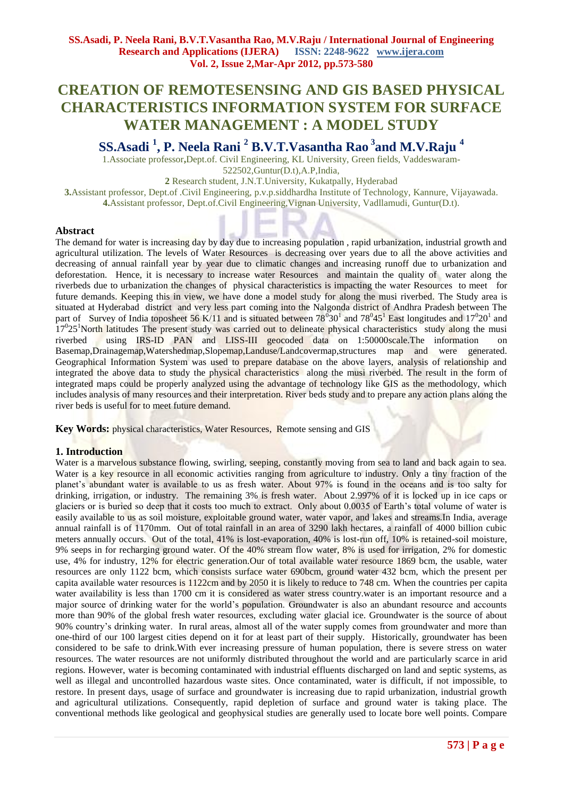# **CREATION OF REMOTESENSING AND GIS BASED PHYSICAL CHARACTERISTICS INFORMATION SYSTEM FOR SURFACE WATER MANAGEMENT : A MODEL STUDY**

**SS.Asadi <sup>1</sup> , P. Neela Rani <sup>2</sup> B.V.T.Vasantha Rao <sup>3</sup> and M.V.Raju <sup>4</sup>**

1.Associate professor**,**Dept.of. Civil Engineering, KL University, Green fields, Vaddeswaram-522502,Guntur(D.t),A.P,India,

**2** Research student, J.N.T.University, Kukatpally, Hyderabad

**3.**Assistant professor, Dept.of .Civil Engineering, p.v.p.siddhardha Institute of Technology, Kannure, Vijayawada. **4.**Assistant professor, Dept.of.Civil Engineering,Vignan University, Vadllamudi, Guntur(D.t).

## **Abstract**

The demand for water is increasing day by day due to increasing population, rapid urbanization, industrial growth and agricultural utilization. The levels of Water Resources is decreasing over years due to all the above activities and decreasing of annual rainfall year by year due to climatic changes and increasing runoff due to urbanization and deforestation. Hence, it is necessary to increase water Resources and maintain the quality of water along the riverbeds due to urbanization the changes of physical characteristics is impacting the water Resources to meet for future demands. Keeping this in view, we have done a model study for along the musi riverbed. The Study area is situated at Hyderabad district and very less part coming into the Nalgonda district of Andhra Pradesh between The part of Survey of India toposheet 56 K/11 and is situated between  $78^030^1$  and  $78^045^1$  East longitudes and  $17^020^1$  and 17<sup>0</sup>25<sup>1</sup>North latitudes The present study was carried out to delineate physical characteristics study along the musi riverbed using IRS-ID PAN and LISS-III geocoded data on 1:50000scale.The information on Basemap,Drainagemap,Watershedmap,Slopemap,Landuse/Landcovermap,structures map and were generated. Geographical Information System was used to prepare database on the above layers, analysis of relationship and integrated the above data to study the physical characteristics along the musi riverbed. The result in the form of integrated maps could be properly analyzed using the advantage of technology like GIS as the methodology, which includes analysis of many resources and their interpretation. River beds study and to prepare any action plans along the river beds is useful for to meet future demand.

**Key Words:** physical characteristics, Water Resources, Remote sensing and GIS

# **1. Introduction**

Water is a marvelous substance flowing, swirling, seeping, constantly moving from sea to land and back again to sea. Water is a key resource in all economic activities ranging from agriculture to industry. Only a tiny fraction of the planet's abundant water is available to us as fresh water. About 97% is found in the oceans and is too salty for drinking, irrigation, or industry. The remaining 3% is fresh water. About 2.997% of it is locked up in ice caps or glaciers or is buried so deep that it costs too much to extract. Only about 0.0035 of Earth's total volume of water is easily available to us as soil moisture, exploitable ground water, water vapor, and lakes and streams.In India, average annual rainfall is of 1170mm. Out of total rainfall in an area of 3290 lakh hectares, a rainfall of 4000 billion cubic meters annually occurs. Out of the total, 41% is lost-evaporation, 40% is lost-run off, 10% is retained-soil moisture, 9% seeps in for recharging ground water. Of the 40% stream flow water, 8% is used for irrigation, 2% for domestic use, 4% for industry, 12% for electric generation.Our of total available water resource 1869 bcm, the usable, water resources are only 1122 bcm, which consists surface water 690bcm, ground water 432 bcm, which the present per capita available water resources is 1122cm and by 2050 it is likely to reduce to 748 cm. When the countries per capita water availability is less than 1700 cm it is considered as water stress country.water is an important resource and a major source of drinking water for the world's population. Groundwater is also an abundant resource and accounts more than 90% of the global fresh water resources, excluding water glacial ice. Groundwater is the source of about 90% country's drinking water. In rural areas, almost all of the water supply comes from groundwater and more than one-third of our 100 largest cities depend on it for at least part of their supply. Historically, groundwater has been considered to be safe to drink.With ever increasing pressure of human population, there is severe stress on water resources. The water resources are not uniformly distributed throughout the world and are particularly scarce in arid regions. However, water is becoming contaminated with industrial effluents discharged on land and septic systems, as well as illegal and uncontrolled hazardous waste sites. Once contaminated, water is difficult, if not impossible, to restore. In present days, usage of surface and groundwater is increasing due to rapid urbanization, industrial growth and agricultural utilizations. Consequently, rapid depletion of surface and ground water is taking place. The conventional methods like geological and geophysical studies are generally used to locate bore well points. Compare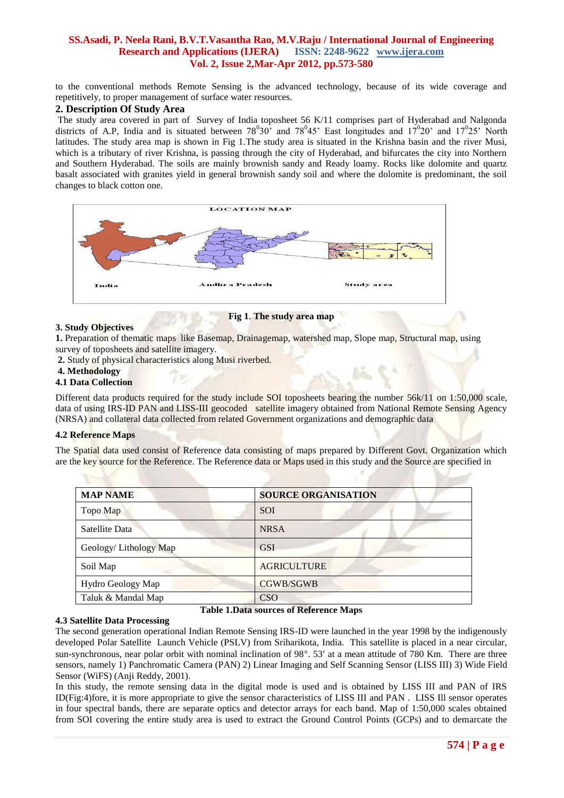to the conventional methods Remote Sensing is the advanced technology, because of its wide coverage and repetitively, to proper management of surface water resources.

# **2. Description Of Study Area**

The study area covered in part of Survey of India toposheet 56 K/11 comprises part of Hyderabad and Nalgonda districts of A.P, India and is situated between  $78^030$  and  $78^045$  East longitudes and  $17^020$  and  $17^025$  North latitudes. The study area map is shown in Fig 1.The study area is situated in the Krishna basin and the river Musi, which is a tributary of river Krishna, is passing through the city of Hyderabad, and bifurcates the city into Northern and Southern Hyderabad. The soils are mainly brownish sandy and Ready loamy. Rocks like dolomite and quartz basalt associated with granites yield in general brownish sandy soil and where the dolomite is predominant, the soil changes to black cotton one.



#### **3. Study Objectives**

**Fig 1**. **The study area map**

**1.** Preparation of thematic maps like Basemap, Drainagemap, watershed map, Slope map, Structural map, using survey of toposheets and satellite imagery.

**2.** Study of physical characteristics along Musi riverbed.

# **4. Methodology**

# **4.1 Data Collection**

Different data products required for the study include SOI toposheets bearing the number 56k/11 on 1:50,000 scale, data of using IRS-ID PAN and LISS-III geocoded satellite imagery obtained from National Remote Sensing Agency (NRSA) and collateral data collected from related Government organizations and demographic data

### **4.2 Reference Maps**

The Spatial data used consist of Reference data consisting of maps prepared by Different Govt. Organization which are the key source for the Reference. The Reference data or Maps used in this study and the Source are specified in

| <b>MAP NAME</b>       | <b>SOURCE ORGANISATION</b> |
|-----------------------|----------------------------|
| Topo Map              | <b>SOI</b>                 |
| Satellite Data        | <b>NRSA</b>                |
| Geology/Lithology Map | <b>GSI</b>                 |
| Soil Map              | <b>AGRICULTURE</b>         |
| Hydro Geology Map     | <b>CGWB/SGWB</b>           |
| Taluk & Mandal Map    | <b>CSO</b>                 |

#### **Table 1.Data sources of Reference Maps**

### **4.3 Satellite Data Processing**

The second generation operational Indian Remote Sensing IRS-ID were launched in the year 1998 by the indigenously developed Polar Satellite Launch Vehicle (PSLV) from Sriharikota, India. This satellite is placed in a near circular, sun-synchronous, near polar orbit with nominal inclination of 98°. 53' at a mean attitude of 780 Km. There are three sensors, namely 1) Panchromatic Camera (PAN) 2) Linear Imaging and Self Scanning Sensor (LISS III) 3) Wide Field Sensor (WiFS) (Anji Reddy, 2001).

In this study, the remote sensing data in the digital mode is used and is obtained by LISS III and PAN of IRS ID(Fig:4)fore, it is more appropriate to give the sensor characteristics of LISS III and PAN . LISS Ill sensor operates in four spectral bands, there are separate optics and detector arrays for each band. Map of 1:50,000 scales obtained from SOI covering the entire study area is used to extract the Ground Control Points (GCPs) and to demarcate the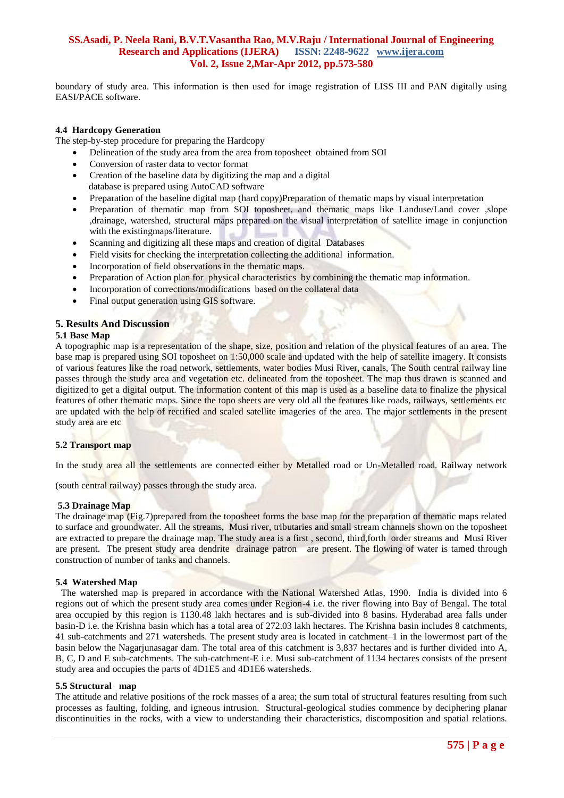boundary of study area. This information is then used for image registration of LISS III and PAN digitally using EASI/PACE software.

#### **4.4 Hardcopy Generation**

The step-by-step procedure for preparing the Hardcopy

- Delineation of the study area from the area from toposheet obtained from SOI
- Conversion of raster data to vector format
- Creation of the baseline data by digitizing the map and a digital database is prepared using AutoCAD software
- Preparation of the baseline digital map (hard copy)Preparation of thematic maps by visual interpretation
- Preparation of thematic map from SOI toposheet, and thematic maps like Landuse/Land cover ,slope ,drainage, watershed, structural maps prepared on the visual interpretation of satellite image in conjunction with the existingmaps/literature.
- Scanning and digitizing all these maps and creation of digital Databases
- Field visits for checking the interpretation collecting the additional information.
- Incorporation of field observations in the thematic maps.
- Preparation of Action plan for physical characteristics by combining the thematic map information.
- Incorporation of corrections/modifications based on the collateral data
- Final output generation using GIS software.

#### **5. Results And Discussion**

#### **5.1 Base Map**

A topographic map is a representation of the shape, size, position and relation of the physical features of an area. The base map is prepared using SOI toposheet on 1:50,000 scale and updated with the help of satellite imagery. It consists of various features like the road network, settlements, water bodies Musi River, canals, The South central railway line passes through the study area and vegetation etc. delineated from the toposheet. The map thus drawn is scanned and digitized to get a digital output. The information content of this map is used as a baseline data to finalize the physical features of other thematic maps. Since the topo sheets are very old all the features like roads, railways, settlements etc are updated with the help of rectified and scaled satellite imageries of the area. The major settlements in the present study area are etc

### **5.2 Transport map**

In the study area all the settlements are connected either by Metalled road or Un-Metalled road. Railway network

(south central railway) passes through the study area.

#### **5.3 Drainage Map**

The drainage map (Fig.7)prepared from the toposheet forms the base map for the preparation of thematic maps related to surface and groundwater. All the streams, Musi river, tributaries and small stream channels shown on the toposheet are extracted to prepare the drainage map. The study area is a first , second, third,forth order streams and Musi River are present. The present study area dendrite drainage patron are present. The flowing of water is tamed through construction of number of tanks and channels.

### **5.4 Watershed Map**

The watershed map is prepared in accordance with the National Watershed Atlas, 1990. India is divided into 6 regions out of which the present study area comes under Region-4 i.e. the river flowing into Bay of Bengal. The total area occupied by this region is 1130.48 lakh hectares and is sub-divided into 8 basins. Hyderabad area falls under basin-D i.e. the Krishna basin which has a total area of 272.03 lakh hectares. The Krishna basin includes 8 catchments, 41 sub-catchments and 271 watersheds. The present study area is located in catchment–1 in the lowermost part of the basin below the Nagarjunasagar dam. The total area of this catchment is 3,837 hectares and is further divided into A, B, C, D and E sub-catchments. The sub-catchment-E i.e. Musi sub-catchment of 1134 hectares consists of the present study area and occupies the parts of 4D1E5 and 4D1E6 watersheds.

#### **5.5 Structural map**

The attitude and relative positions of the rock masses of a area; the sum total of structural features resulting from such processes as faulting, folding, and igneous intrusion. Structural-geological studies commence by deciphering planar discontinuities in the rocks, with a view to understanding their characteristics, discomposition and spatial relations.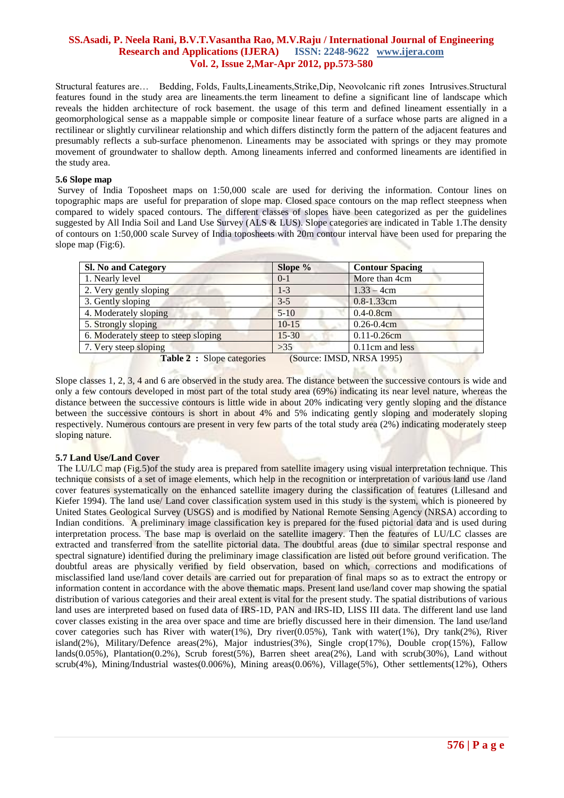Structural features are… Bedding, Folds, Faults,Lineaments,Strike,Dip, Neovolcanic rift zones Intrusives.Structural features found in the study area are lineaments.the term lineament to define a significant line of landscape which reveals the hidden architecture of rock basement. the usage of this term and defined lineament essentially in a geomorphological sense as a mappable simple or composite linear feature of a surface whose parts are aligned in a rectilinear or slightly curvilinear relationship and which differs distinctly form the pattern of the adjacent features and presumably reflects a sub-surface phenomenon. Lineaments may be associated with springs or they may promote movement of groundwater to shallow depth. Among lineaments inferred and conformed lineaments are identified in the study area.

#### **5.6 Slope map**

Survey of India Toposheet maps on 1:50,000 scale are used for deriving the information. Contour lines on topographic maps are useful for preparation of slope map. Closed space contours on the map reflect steepness when compared to widely spaced contours. The different classes of slopes have been categorized as per the guidelines suggested by All India Soil and Land Use Survey (ALS & LUS). Slope categories are indicated in Table 1. The density of contours on 1:50,000 scale Survey of India toposheets with 20m contour interval have been used for preparing the slope map (Fig:6).

| <b>Sl. No and Category</b>           | Slope %                   | <b>Contour Spacing</b> |
|--------------------------------------|---------------------------|------------------------|
| 1. Nearly level                      | $0-1$                     | More than 4cm          |
| 2. Very gently sloping               | $1-3$                     | $1.33 - 4cm$           |
| 3. Gently sloping                    | $3 - 5$                   | $0.8 - 1.33$ cm        |
| 4. Moderately sloping                | $5-10$                    | $0.4 - 0.8$ cm         |
| 5. Strongly sloping                  | $10-15$                   | $0.26 - 0.4$ cm        |
| 6. Moderately steep to steep sloping | $15 - 30$                 | $0.11 - 0.26$ cm       |
| 7. Very steep sloping                | $>35$                     | 0.11cm and less        |
| Table 2 : Slope categories           | (Source: IMSD, NRSA 1995) |                        |

Slope classes 1, 2, 3, 4 and 6 are observed in the study area. The distance between the successive contours is wide and only a few contours developed in most part of the total study area (69%) indicating its near level nature, whereas the distance between the successive contours is little wide in about 20% indicating very gently sloping and the distance between the successive contours is short in about 4% and 5% indicating gently sloping and moderately sloping respectively. Numerous contours are present in very few parts of the total study area (2%) indicating moderately steep sloping nature.

### **5.7 Land Use/Land Cover**

The LU/LC map (Fig.5)of the study area is prepared from satellite imagery using visual interpretation technique. This technique consists of a set of image elements, which help in the recognition or interpretation of various land use *f*land cover features systematically on the enhanced satellite imagery during the classification of features (Lillesand and Kiefer 1994). The land use/ Land cover classification system used in this study is the system, which is pioneered by United States Geological Survey (USGS) and is modified by National Remote Sensing Agency (NRSA) according to Indian conditions. A preliminary image classification key is prepared for the fused pictorial data and is used during interpretation process. The base map is overlaid on the satellite imagery. Then the features of LU/LC classes are extracted and transferred from the satellite pictorial data. The doubtful areas (due to similar spectral response and spectral signature) identified during the preliminary image classification are listed out before ground verification. The doubtful areas are physically verified by field observation, based on which, corrections and modifications of misclassified land use/land cover details are carried out for preparation of final maps so as to extract the entropy or information content in accordance with the above thematic maps. Present land use/land cover map showing the spatial distribution of various categories and their areal extent is vital for the present study. The spatial distributions of various land uses are interpreted based on fused data of IRS-1D, PAN and IRS-ID, LISS III data. The different land use land cover classes existing in the area over space and time are briefly discussed here in their dimension. The land use/land cover categories such has River with water(1%), Dry river(0.05%), Tank with water(1%), Dry tank(2%), River island(2%), Military/Defence areas(2%), Major industries(3%), Single crop(17%), Double crop(15%), Fallow lands(0.05%), Plantation(0.2%), Scrub forest(5%), Barren sheet area(2%), Land with scrub(30%), Land without scrub(4%), Mining/Industrial wastes(0.006%), Mining areas(0.06%), Village(5%), Other settlements(12%), Others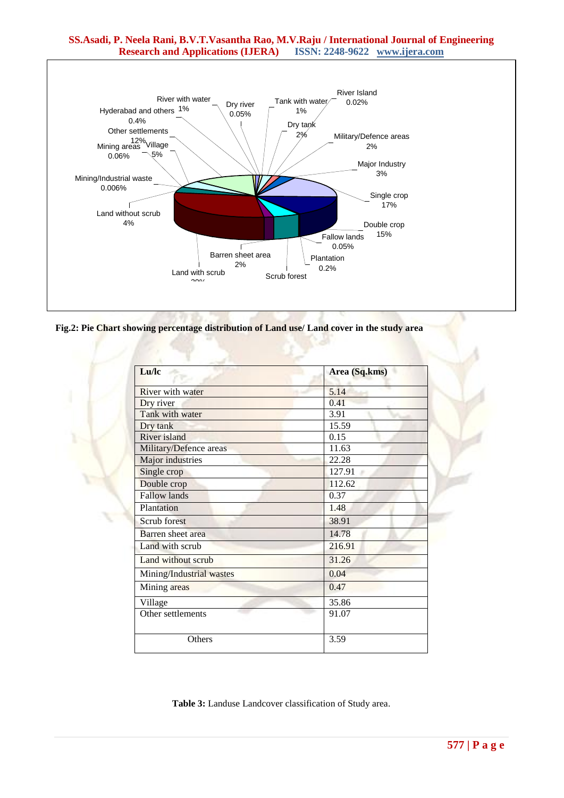# **SS.Asadi, P. Neela Rani, B.V.T.Vasantha Rao, M.V.Raju / International Journal of Engineering Research and Applications (IJERA) ISSN: 2248-9622 www.ijera.com**



**Fig.2: Pie Chart showing percentage distribution of Land use/ Land cover in the study area**

| Lu/lc                    | Area (Sq.kms) |  |
|--------------------------|---------------|--|
| River with water         | 5.14          |  |
| Dry river                | 0.41          |  |
| Tank with water          | 3.91          |  |
| Dry tank                 | 15.59         |  |
| <b>River island</b>      | 0.15          |  |
| Military/Defence areas   | 11.63         |  |
| Major industries         | 22.28         |  |
| Single crop              | 127.91        |  |
| Double crop              | 112.62        |  |
| <b>Fallow lands</b>      | 0.37          |  |
| Plantation               | 1.48          |  |
| Scrub forest             | 38.91         |  |
| Barren sheet area        | 14.78         |  |
| Land with scrub          | 216.91        |  |
| Land without scrub       | 31.26         |  |
| Mining/Industrial wastes | 0.04          |  |
| Mining areas             | 0.47          |  |
| Village                  | 35.86         |  |
| Other settlements        | 91.07         |  |
| Others                   | 3.59          |  |

**Table 3:** Landuse Landcover classification of Study area.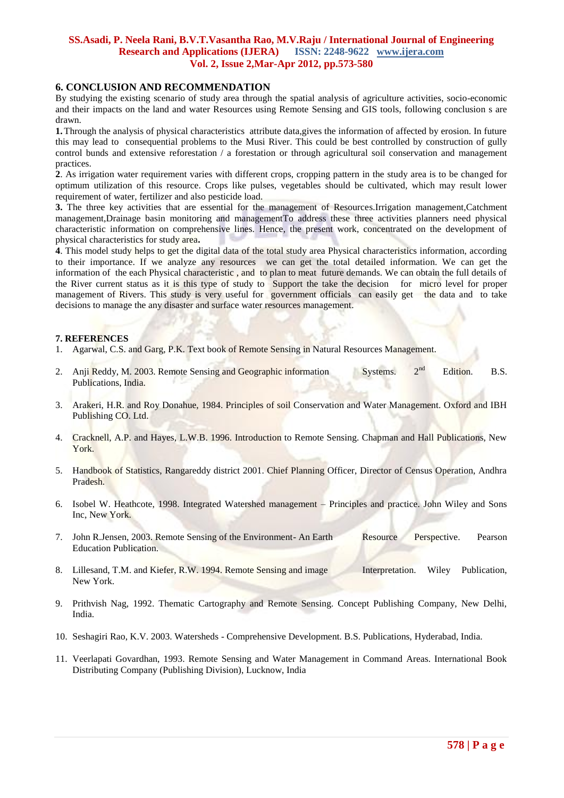## **6. CONCLUSION AND RECOMMENDATION**

By studying the existing scenario of study area through the spatial analysis of agriculture activities, socio-economic and their impacts on the land and water Resources using Remote Sensing and GIS tools, following conclusion s are drawn.

**1.**Through the analysis of physical characteristics attribute data,gives the information of affected by erosion. In future this may lead to consequential problems to the Musi River. This could be best controlled by construction of gully control bunds and extensive reforestation / a forestation or through agricultural soil conservation and management practices.

**2**. As irrigation water requirement varies with different crops, cropping pattern in the study area is to be changed for optimum utilization of this resource. Crops like pulses, vegetables should be cultivated, which may result lower requirement of water, fertilizer and also pesticide load.

**3.** The three key activities that are essential for the management of Resources.Irrigation management,Catchment management,Drainage basin monitoring and managementTo address these three activities planners need physical characteristic information on comprehensive lines. Hence, the present work, concentrated on the development of physical characteristics for study area**.**

**4**. This model study helps to get the digital data of the total study area Physical characteristics information, according to their importance. If we analyze any resources we can get the total detailed information. We can get the information of the each Physical characteristic , and to plan to meat future demands. We can obtain the full details of the River current status as it is this type of study to Support the take the decision for micro level for proper management of Rivers. This study is very useful for government officials can easily get the data and to take decisions to manage the any disaster and surface water resources management.

## **7. REFERENCES**

- 1. Agarwal, C.S. and Garg, P.K. Text book of Remote Sensing in Natural Resources Management.
- 2. Anji Reddy, M. 2003. Remote Sensing and Geographic information Systems. 2<sup>nd</sup> Edition. B.S. Publications, India.
- 3. Arakeri, H.R. and Roy Donahue, 1984. Principles of soil Conservation and Water Management. Oxford and IBH Publishing CO. Ltd.
- 4. Cracknell, A.P. and Hayes, L.W.B. 1996. Introduction to Remote Sensing. Chapman and Hall Publications, New York.
- 5. Handbook of Statistics, Rangareddy district 2001. Chief Planning Officer, Director of Census Operation, Andhra Pradesh.
- 6. Isobel W. Heathcote, 1998. Integrated Watershed management Principles and practice. John Wiley and Sons Inc, New York.
- 7. John R.Jensen, 2003. Remote Sensing of the Environment- An Earth Resource Perspective. Pearson Education Publication.
- 8. Lillesand, T.M. and Kiefer, R.W. 1994. Remote Sensing and image Interpretation. Wiley Publication, New York.
- 9. Prithvish Nag, 1992. Thematic Cartography and Remote Sensing. Concept Publishing Company, New Delhi, India.
- 10. Seshagiri Rao, K.V. 2003. Watersheds Comprehensive Development. B.S. Publications, Hyderabad, India.
- 11. Veerlapati Govardhan, 1993. Remote Sensing and Water Management in Command Areas. International Book Distributing Company (Publishing Division), Lucknow, India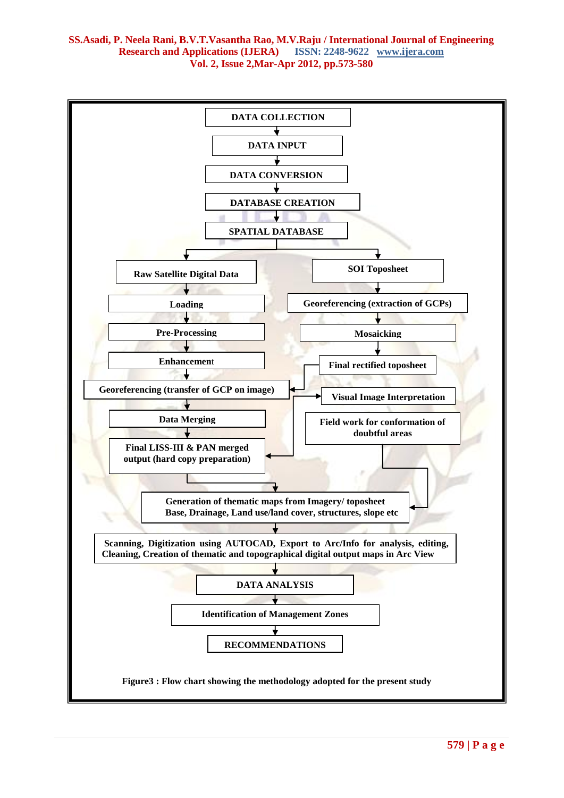